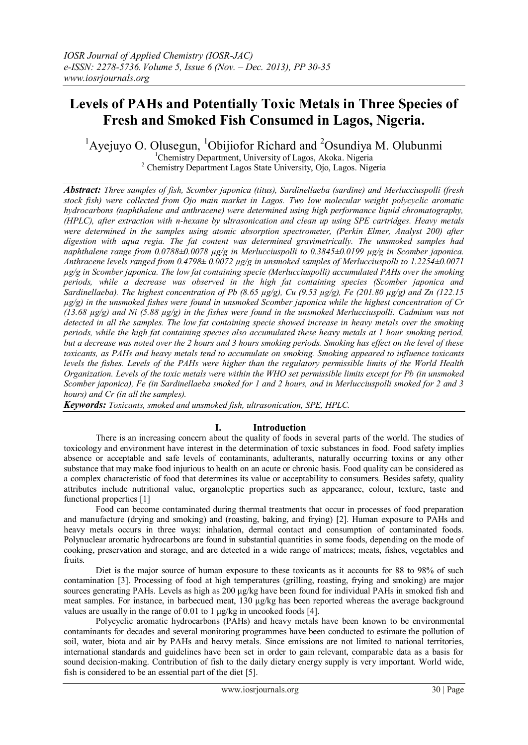# **Levels of PAHs and Potentially Toxic Metals in Three Species of Fresh and Smoked Fish Consumed in Lagos, Nigeria.**

<sup>1</sup>Ayejuyo O. Olusegun, <sup>1</sup>Obijiofor Richard and <sup>2</sup>Osundiya M. Olubunmi <sup>1</sup>Chemistry Department, University of Lagos, Akoka. Nigeria <sup>2</sup> Chemistry Department Lagos State University, Ojo, Lagos. Nigeria

*Abstract: Three samples of fish, Scomber japonica (titus), Sardinellaeba (sardine) and Merlucciuspolli (fresh stock fish) were collected from Ojo main market in Lagos. Two low molecular weight polycyclic aromatic hydrocarbons (naphthalene and anthracene) were determined using high performance liquid chromatography, (HPLC), after extraction with n-hexane by ultrasonication and clean up using SPE cartridges. Heavy metals were determined in the samples using atomic absorption spectrometer, (Perkin Elmer, Analyst 200) after digestion with aqua regia. The fat content was determined gravimetrically. The unsmoked samples had naphthalene range from 0.0788±0.0078 µg/g in Merlucciuspolli to 0.3845±0.0199 µg/g in Scomber japonica. Anthracene levels ranged from 0.4798± 0.0072 µg/g in unsmoked samples of Merlucciuspolli to 1.2254±0.0071 µg/g in Scomber japonica. The low fat containing specie (Merlucciuspolli) accumulated PAHs over the smoking periods, while a decrease was observed in the high fat containing species (Scomber japonica and Sardinellaeba). The highest concentration of Pb (8.65 µg/g), Cu (9.53 µg/g), Fe (201.80 µg/g) and Zn (122.15 µg/g) in the unsmoked fishes were found in unsmoked Scomber japonica while the highest concentration of Cr (13.68 µg/g) and Ni (5.88 µg/g) in the fishes were found in the unsmoked Merlucciuspolli. Cadmium was not detected in all the samples. The low fat containing specie showed increase in heavy metals over the smoking periods, while the high fat containing species also accumulated these heavy metals at 1 hour smoking period, but a decrease was noted over the 2 hours and 3 hours smoking periods. Smoking has effect on the level of these toxicants, as PAHs and heavy metals tend to accumulate on smoking. Smoking appeared to influence toxicants levels the fishes. Levels of the PAHs were higher than the regulatory permissible limits of the World Health Organization. Levels of the toxic metals were within the WHO set permissible limits except for Pb (in unsmoked Scomber japonica), Fe (in Sardinellaeba smoked for 1 and 2 hours, and in Merlucciuspolli smoked for 2 and 3 hours) and Cr (in all the samples).*

*Keywords: Toxicants, smoked and unsmoked fish, ultrasonication, SPE, HPLC.*

# **I. Introduction**

There is an increasing concern about the quality of foods in several parts of the world. The studies of toxicology and environment have interest in the determination of toxic substances in food. Food safety implies absence or acceptable and safe levels of contaminants, adulterants, naturally occurring toxins or any other substance that may make food injurious to health on an acute or chronic basis. Food quality can be considered as a complex characteristic of food that determines its value or acceptability to consumers. Besides safety, quality attributes include nutritional value, organoleptic properties such as appearance, colour, texture, taste and functional properties [1]

Food can become contaminated during thermal treatments that occur in processes of food preparation and manufacture (drying and smoking) and (roasting, baking, and frying) [2]. Human exposure to PAHs and heavy metals occurs in three ways: inhalation, dermal contact and consumption of contaminated foods. Polynuclear aromatic hydrocarbons are found in substantial quantities in some foods, depending on the mode of cooking, preservation and storage, and are detected in a wide range of matrices; meats, fishes, vegetables and fruits.

Diet is the major source of human exposure to these toxicants as it accounts for 88 to 98% of such contamination [3]. Processing of food at high temperatures (grilling, roasting, frying and smoking) are major sources generating PAHs. Levels as high as 200 μg/kg have been found for individual PAHs in smoked fish and meat samples. For instance, in barbecued meat, 130 μg/kg has been reported whereas the average background values are usually in the range of 0.01 to 1 μg/kg in uncooked foods [4].

Polycyclic aromatic hydrocarbons (PAHs) and heavy metals have been known to be environmental contaminants for decades and several monitoring programmes have been conducted to estimate the pollution of soil, water, biota and air by PAHs and heavy metals. Since emissions are not limited to national territories, international standards and guidelines have been set in order to gain relevant, comparable data as a basis for sound decision-making. Contribution of fish to the daily dietary energy supply is very important. World wide, fish is considered to be an essential part of the diet [5].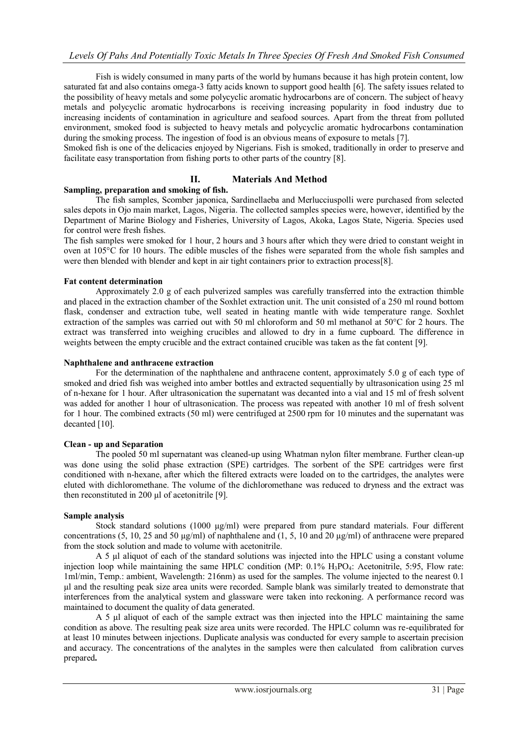Fish is widely consumed in many parts of the world by humans because it has high protein content, low saturated fat and also contains omega-3 fatty acids known to support good health [6]. The safety issues related to the possibility of heavy metals and some polycyclic aromatic hydrocarbons are of concern. The subject of heavy metals and polycyclic aromatic hydrocarbons is receiving increasing popularity in food industry due to increasing incidents of contamination in agriculture and seafood sources. Apart from the threat from polluted environment, smoked food is subjected to heavy metals and polycyclic aromatic hydrocarbons contamination during the smoking process. The ingestion of food is an obvious means of exposure to metals [7].

Smoked fish is one of the delicacies enjoyed by Nigerians. Fish is smoked, traditionally in order to preserve and facilitate easy transportation from fishing ports to other parts of the country [8].

## **II. Materials And Method**

#### **Sampling, preparation and smoking of fish.**

The fish samples, Scomber japonica, Sardinellaeba and Merlucciuspolli were purchased from selected sales depots in Ojo main market, Lagos, Nigeria. The collected samples species were, however, identified by the Department of Marine Biology and Fisheries, University of Lagos, Akoka, Lagos State, Nigeria. Species used for control were fresh fishes.

The fish samples were smoked for 1 hour, 2 hours and 3 hours after which they were dried to constant weight in oven at 105°C for 10 hours. The edible muscles of the fishes were separated from the whole fish samples and were then blended with blender and kept in air tight containers prior to extraction process[8].

#### **Fat content determination**

Approximately 2.0 g of each pulverized samples was carefully transferred into the extraction thimble and placed in the extraction chamber of the Soxhlet extraction unit. The unit consisted of a 250 ml round bottom flask, condenser and extraction tube, well seated in heating mantle with wide temperature range. Soxhlet extraction of the samples was carried out with 50 ml chloroform and 50 ml methanol at 50°C for 2 hours. The extract was transferred into weighing crucibles and allowed to dry in a fume cupboard. The difference in weights between the empty crucible and the extract contained crucible was taken as the fat content [9].

#### **Naphthalene and anthracene extraction**

For the determination of the naphthalene and anthracene content, approximately 5.0 g of each type of smoked and dried fish was weighed into amber bottles and extracted sequentially by ultrasonication using 25 ml of n-hexane for 1 hour. After ultrasonication the supernatant was decanted into a vial and 15 ml of fresh solvent was added for another 1 hour of ultrasonication. The process was repeated with another 10 ml of fresh solvent for 1 hour. The combined extracts (50 ml) were centrifuged at 2500 rpm for 10 minutes and the supernatant was decanted [10].

#### **Clean - up and Separation**

The pooled 50 ml supernatant was cleaned-up using Whatman nylon filter membrane. Further clean-up was done using the solid phase extraction (SPE) cartridges. The sorbent of the SPE cartridges were first conditioned with n-hexane, after which the filtered extracts were loaded on to the cartridges, the analytes were eluted with dichloromethane. The volume of the dichloromethane was reduced to dryness and the extract was then reconstituted in 200 µl of acetonitrile [9].

## **Sample analysis**

Stock standard solutions (1000 µg/ml) were prepared from pure standard materials. Four different concentrations (5, 10, 25 and 50  $\mu$ g/ml) of naphthalene and (1, 5, 10 and 20  $\mu$ g/ml) of anthracene were prepared from the stock solution and made to volume with acetonitrile.

A 5 µl aliquot of each of the standard solutions was injected into the HPLC using a constant volume injection loop while maintaining the same HPLC condition (MP: 0.1% H<sub>3</sub>PO<sub>4</sub>: Acetonitrile, 5:95, Flow rate: 1ml/min, Temp.: ambient, Wavelength: 216nm) as used for the samples. The volume injected to the nearest 0.1 µl and the resulting peak size area units were recorded. Sample blank was similarly treated to demonstrate that interferences from the analytical system and glassware were taken into reckoning. A performance record was maintained to document the quality of data generated.

A 5 µl aliquot of each of the sample extract was then injected into the HPLC maintaining the same condition as above. The resulting peak size area units were recorded. The HPLC column was re-equilibrated for at least 10 minutes between injections. Duplicate analysis was conducted for every sample to ascertain precision and accuracy. The concentrations of the analytes in the samples were then calculated from calibration curves prepared**.**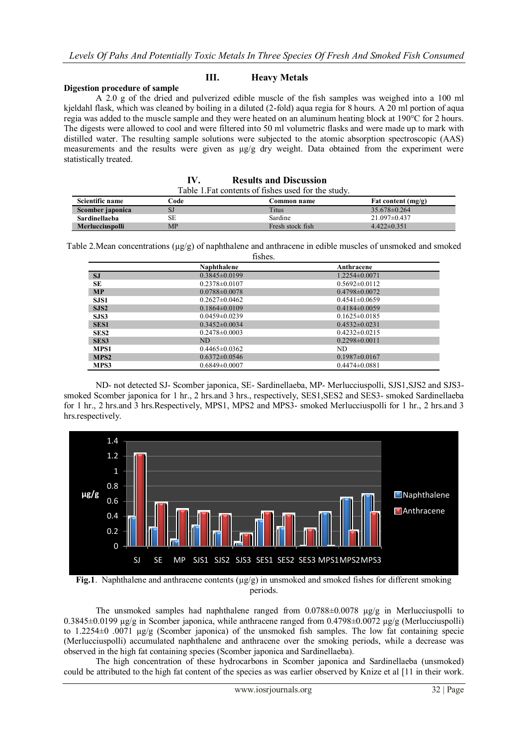# **III. Heavy Metals**

#### **Digestion procedure of sample**

I

A 2.0 g of the dried and pulverized edible muscle of the fish samples was weighed into a 100 ml kjeldahl flask, which was cleaned by boiling in a diluted (2-fold) aqua regia for 8 hours. A 20 ml portion of aqua regia was added to the muscle sample and they were heated on an aluminum heating block at 190°C for 2 hours. The digests were allowed to cool and were filtered into 50 ml volumetric flasks and were made up to mark with distilled water. The resulting sample solutions were subjected to the atomic absorption spectroscopic (AAS) measurements and the results were given as µg/g dry weight. Data obtained from the experiment were statistically treated.

| IV. | <b>Results and Discussion</b>                       |
|-----|-----------------------------------------------------|
|     | Table 1. Fat contents of fishes used for the study. |

| Scientific name      | Code: | Common name      | Fat content $(mg/g)$ |
|----------------------|-------|------------------|----------------------|
| Scomber japonica     |       | <b>Titus</b>     | $35.678\pm0.264$     |
| <b>Sardinellaeba</b> |       | Sardine          | $21.097\pm0.437$     |
| Merlucciuspolli      | MP    | Fresh stock fish | $4.422\pm0.351$      |

Table 2. Mean concentrations  $(\mu g/g)$  of naphthalene and anthracene in edible muscles of unsmoked and smoked fishes.

|                  | Naphthalene         | Anthracene          |
|------------------|---------------------|---------------------|
| <b>SJ</b>        | $0.3845\pm0.0199$   | $1.2254\pm0.0071$   |
| SE               | $0.2378 \pm 0.0107$ | $0.5692 \pm 0.0112$ |
| <b>MP</b>        | $0.0788 \pm 0.0078$ | $0.4798 \pm 0.0072$ |
| SJS1             | $0.2627 \pm 0.0462$ | $0.4541\pm0.0659$   |
| SJS2             | $0.1864\pm0.0109$   | $0.4184\pm0.0059$   |
| SJS3             | $0.0459 \pm 0.0239$ | $0.1625 \pm 0.0185$ |
| <b>SES1</b>      | $0.3452\pm0.0034$   | $0.4532\pm0.0231$   |
| SES <sub>2</sub> | $0.2478 \pm 0.0003$ | $0.4232\pm0.0215$   |
| SES <sub>3</sub> | <b>ND</b>           | $0.2298\pm0.0011$   |
| MPS1             | $0.4465 \pm 0.0362$ | ND.                 |
| MPS <sub>2</sub> | $0.6372\pm0.0546$   | $0.1987 \pm 0.0167$ |
| MPS3             | $0.6849\pm0.0007$   | $0.4474\pm0.0881$   |

ND- not detected SJ- Scomber japonica, SE- Sardinellaeba, MP- Merlucciuspolli, SJS1,SJS2 and SJS3 smoked Scomber japonica for 1 hr., 2 hrs.and 3 hrs., respectively, SES1,SES2 and SES3- smoked Sardinellaeba for 1 hr., 2 hrs.and 3 hrs.Respectively, MPS1, MPS2 and MPS3- smoked Merlucciuspolli for 1 hr., 2 hrs.and 3 hrs.respectively.



**Fig.1**. Naphthalene and anthracene contents (µg/g) in unsmoked and smoked fishes for different smoking periods.

The unsmoked samples had naphthalene ranged from  $0.0788\pm0.0078$   $\mu$ g/g in Merlucciuspolli to  $0.3845\pm0.0199$   $\mu$ g/g in Scomber japonica, while anthracene ranged from  $0.4798\pm0.0072$   $\mu$ g/g (Merlucciuspolli) to 1.2254±0 .0071 µg/g (Scomber japonica) of the unsmoked fish samples. The low fat containing specie (Merlucciuspolli) accumulated naphthalene and anthracene over the smoking periods, while a decrease was observed in the high fat containing species (Scomber japonica and Sardinellaeba).

The high concentration of these hydrocarbons in Scomber japonica and Sardinellaeba (unsmoked) could be attributed to the high fat content of the species as was earlier observed by Knize et al [11 in their work.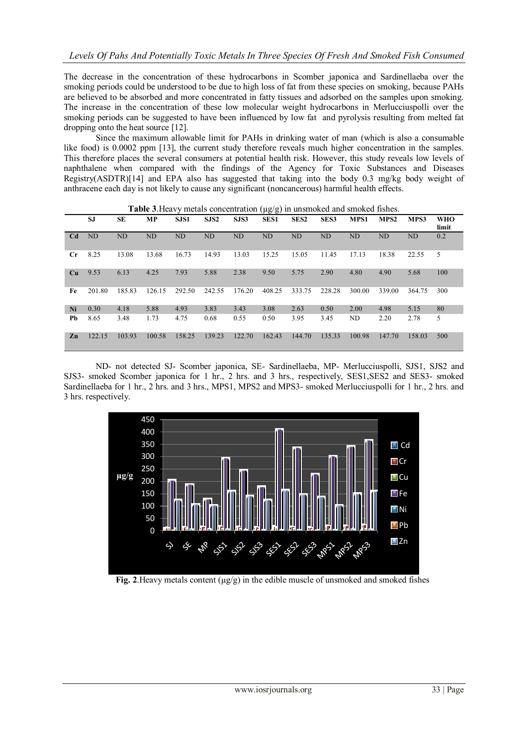The decrease in the concentration of these hydrocarbons in Scomber japonica and Sardinellaeba over the smoking periods could be understood to be due to high loss of fat from these species on smoking, because PAHs are believed to be absorbed and more concentrated in fatty tissues and adsorbed on the samples upon smoking. The increase in the concentration of these low molecular weight hydrocarbons in Merlucciuspolli over the smoking periods can be suggested to have been influenced by low fat and pyrolysis resulting from melted fat dropping onto the heat source [12].

Since the maximum allowable limit for PAHs in drinking water of man (which is also a consumable like food) is 0.0002 ppm [13], the current study therefore reveals much higher concentration in the samples. This therefore places the several consumers at potential health risk. However, this study reveals low levels of naphthalene when compared with the findings of the Agency for Toxic Substances and Diseases Registry(ASDTR)[14] and EPA also has suggested that taking into the body 0.3 mg/kg body weight of anthracene each day is not likely to cause any significant (noncancerous) harmful health effects.

|                | SJ        | SE        | <b>MP</b> | SJS1   | SJS <sub>2</sub> | SJS3           | $\sqrt{2}$<br><b>SES1</b> | SES <sub>2</sub> | SES <sub>3</sub> | MPS1   | MPS <sub>2</sub> | MPS3   | <b>WHO</b><br>limit |
|----------------|-----------|-----------|-----------|--------|------------------|----------------|---------------------------|------------------|------------------|--------|------------------|--------|---------------------|
| C <sub>d</sub> | <b>ND</b> | <b>ND</b> | ND        | ND     | <b>ND</b>        | N <sub>D</sub> | <b>ND</b>                 | ND               | <b>ND</b>        | ND     | ND               | ND     | 0.2                 |
| $_{\rm Cr}$    | 8.25      | 13.08     | 13.68     | 16.73  | 14.93            | 13.03          | 15.25                     | 15.05            | 11.45            | 17.13  | 18.38            | 22.55  | 5                   |
| Cu             | 9.53      | 6.13      | 4.25      | 7.93   | 5.88             | 2.38           | 9.50                      | 5.75             | 2.90             | 4.80   | 4.90             | 5.68   | 100                 |
| Fe             | 201.80    | 185.83    | 126.15    | 292.50 | 242.55           | 176.20         | 408.25                    | 333.75           | 228.28           | 300.00 | 339.00           | 364.75 | 300                 |
| Ni             | 0.30      | 4.18      | 5.88      | 4.93   | 3.83             | 3.43           | 3.08                      | 2.63             | 0.50             | 2.00   | 4.98             | 5.15   | 80                  |
| Pb             | 8.65      | 3.48      | 1.73      | 4.75   | 0.68             | 0.55           | 0.50                      | 3.95             | 3.45             | ND     | 2.20             | 2.78   | 5                   |
| Zn             | 122.15    | 103.93    | 100.58    | 158.25 | 139.23           | 122.70         | 162.43                    | 144.70           | 135.33           | 100.98 | 147.70           | 158.03 | 500                 |

**Table 3**. Heavy metals concentration ( $\mu$ g/g) in unsmoked and smoked fishes.

ND- not detected SJ- Scomber japonica, SE- Sardinellaeba, MP- Merlucciuspolli, SJS1, SJS2 and SJS3- smoked Scomber japonica for 1 hr., 2 hrs. and 3 hrs., respectively, SES1,SES2 and SES3- smoked Sardinellaeba for 1 hr., 2 hrs. and 3 hrs., MPS1, MPS2 and MPS3- smoked Merlucciuspolli for 1 hr., 2 hrs. and 3 hrs. respectively.



**Fig. 2**. Heavy metals content  $(\mu g/g)$  in the edible muscle of unsmoked and smoked fishes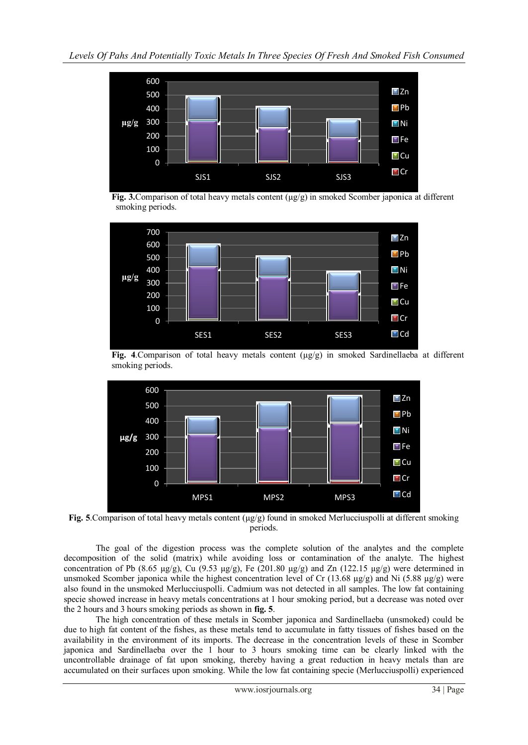

**Fig. 3.**Comparison of total heavy metals content ( $\mu$ g/g) in smoked Scomber japonica at different smoking periods.



**Fig. 4**.Comparison of total heavy metals content (µg/g) in smoked Sardinellaeba at different smoking periods.



**Fig. 5**. Comparison of total heavy metals content ( $\mu$ g/g) found in smoked Merlucciuspolli at different smoking periods.

The goal of the digestion process was the complete solution of the analytes and the complete decomposition of the solid (matrix) while avoiding loss or contamination of the analyte. The highest concentration of Pb (8.65  $\mu$ g/g), Cu (9.53  $\mu$ g/g), Fe (201.80  $\mu$ g/g) and Zn (122.15  $\mu$ g/g) were determined in unsmoked Scomber japonica while the highest concentration level of Cr (13.68  $\mu$ g/g) and Ni (5.88  $\mu$ g/g) were also found in the unsmoked Merlucciuspolli. Cadmium was not detected in all samples. The low fat containing specie showed increase in heavy metals concentrations at 1 hour smoking period, but a decrease was noted over the 2 hours and 3 hours smoking periods as shown in **fig. 5**.

The high concentration of these metals in Scomber japonica and Sardinellaeba (unsmoked) could be due to high fat content of the fishes, as these metals tend to accumulate in fatty tissues of fishes based on the availability in the environment of its imports. The decrease in the concentration levels of these in Scomber japonica and Sardinellaeba over the 1 hour to 3 hours smoking time can be clearly linked with the uncontrollable drainage of fat upon smoking, thereby having a great reduction in heavy metals than are accumulated on their surfaces upon smoking. While the low fat containing specie (Merlucciuspolli) experienced